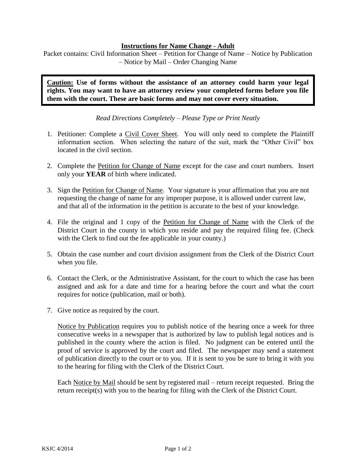## **Instructions for Name Change - Adult**

Packet contains: Civil Information Sheet – Petition for Change of Name – Notice by Publication – Notice by Mail – Order Changing Name

**Caution: Use of forms without the assistance of an attorney could harm your legal rights. You may want to have an attorney review your completed forms before you file them with the court. These are basic forms and may not cover every situation.**

*Read Directions Completely – Please Type or Print Neatly* 

- 1. Petitioner: Complete a Civil Cover Sheet. You will only need to complete the Plaintiff information section. When selecting the nature of the suit, mark the "Other Civil" box located in the civil section.
- 2. Complete the Petition for Change of Name except for the case and court numbers. Insert only your **YEAR** of birth where indicated.
- 3. Sign the Petition for Change of Name. Your signature is your affirmation that you are not requesting the change of name for any improper purpose, it is allowed under current law, and that all of the information in the petition is accurate to the best of your knowledge.
- 4. File the original and 1 copy of the Petition for Change of Name with the Clerk of the District Court in the county in which you reside and pay the required filing fee. (Check with the Clerk to find out the fee applicable in your county.)
- 5. Obtain the case number and court division assignment from the Clerk of the District Court when you file.
- 6. Contact the Clerk, or the Administrative Assistant, for the court to which the case has been assigned and ask for a date and time for a hearing before the court and what the court requires for notice (publication, mail or both).
- 7. Give notice as required by the court.

Notice by Publication requires you to publish notice of the hearing once a week for three consecutive weeks in a newspaper that is authorized by law to publish legal notices and is published in the county where the action is filed. No judgment can be entered until the proof of service is approved by the court and filed. The newspaper may send a statement of publication directly to the court or to you. If it is sent to you be sure to bring it with you to the hearing for filing with the Clerk of the District Court.

Each Notice by Mail should be sent by registered mail – return receipt requested. Bring the return receipt(s) with you to the hearing for filing with the Clerk of the District Court.